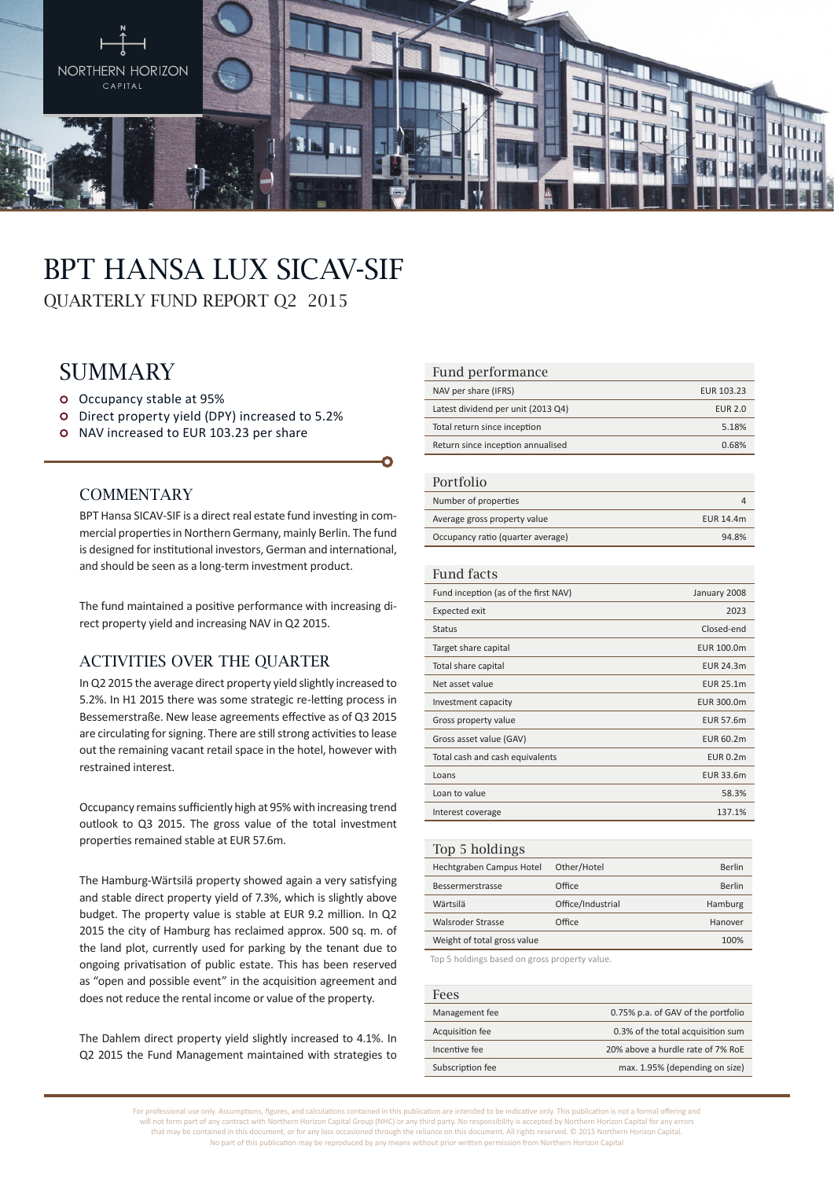

# BPT Hansa Lux SICAV-SIF

QUARTERLY FUND REPORT Q2 2015

# **SUMMARY**

- Occupancy stable at 95%
- Direct property yield (DPY) increased to 5.2%
- o NAV increased to EUR 103.23 per share

### **COMMENTARY**

BPT Hansa SICAV-SIF is a direct real estate fund investing in commercial properties in Northern Germany, mainly Berlin. The fund is designed for institutional investors, German and international, and should be seen as a long-term investment product.

The fund maintained a positive performance with increasing direct property yield and increasing NAV in Q2 2015.

# Activities over the quarter

In Q2 2015 the average direct property yield slightly increased to 5.2%. In H1 2015 there was some strategic re-letting process in Bessemerstraße. New lease agreements effective as of Q3 2015 are circulating for signing. There are still strong activities to lease out the remaining vacant retail space in the hotel, however with restrained interest.

Occupancy remains sufficiently high at 95% with increasing trend outlook to Q3 2015. The gross value of the total investment properties remained stable at EUR 57.6m.

The Hamburg-Wärtsilä property showed again a very satisfying and stable direct property yield of 7.3%, which is slightly above budget. The property value is stable at EUR 9.2 million. In Q2 2015 the city of Hamburg has reclaimed approx. 500 sq. m. of the land plot, currently used for parking by the tenant due to ongoing privatisation of public estate. This has been reserved as "open and possible event" in the acquisition agreement and does not reduce the rental income or value of the property.

The Dahlem direct property yield slightly increased to 4.1%. In Q2 2015 the Fund Management maintained with strategies to

#### Fund performance

| NAV per share (IFRS)               | EUR 103.23     |
|------------------------------------|----------------|
| Latest dividend per unit (2013 Q4) | <b>EUR 2.0</b> |
| Total return since inception       | 5.18%          |
| Return since inception annualised  | 0.68%          |

#### Portfolio

| T OT LIDITU                       |           |
|-----------------------------------|-----------|
| Number of properties              |           |
| Average gross property value      | EUR 14.4m |
| Occupancy ratio (quarter average) | 94.8%     |

#### Fund facts

| Fund inception (as of the first NAV) | January 2008     |
|--------------------------------------|------------------|
| <b>Expected exit</b>                 | 2023             |
| <b>Status</b>                        | Closed-end       |
| Target share capital                 | EUR 100.0m       |
| Total share capital                  | EUR 24.3m        |
| Net asset value                      | <b>EUR 25.1m</b> |
| Investment capacity                  | EUR 300.0m       |
| Gross property value                 | <b>EUR 57.6m</b> |
| Gross asset value (GAV)              | <b>EUR 60.2m</b> |
| Total cash and cash equivalents      | <b>EUR 0.2m</b>  |
| Loans                                | EUR 33.6m        |
| Loan to value                        | 58.3%            |
| Interest coverage                    | 137.1%           |
|                                      |                  |

| Top 5 holdings              |                   |         |
|-----------------------------|-------------------|---------|
| Hechtgraben Campus Hotel    | Other/Hotel       | Berlin  |
| Bessermerstrasse            | Office            | Berlin  |
| Wärtsilä                    | Office/Industrial | Hamburg |
| Walsroder Strasse           | Office            | Hanover |
| Weight of total gross value |                   | 100%    |
|                             |                   |         |

Top 5 holdings based on gross property value.

| <b>Fees</b>      |                                    |
|------------------|------------------------------------|
| Management fee   | 0.75% p.a. of GAV of the portfolio |
| Acquisition fee  | 0.3% of the total acquisition sum  |
| Incentive fee    | 20% above a hurdle rate of 7% RoE  |
| Subscription fee | max. 1.95% (depending on size)     |

For professional use only. Assumptions, figures, and calculations contained in this publication are intended to be indicative only. This publication is not a formal offering and will not form part of any contract with Northern Horizon Capital Group (NHC) or any third party. No responsibility is accepted by Northern Horizon Capital for any errors that may be contained in this document, or for any loss occasioned through the reliance on this document. All rights reserved. © 2015 Northern Horizon Capital. No part of this publication may be reproduced by any means without prior written permission from Northern Horizon Capital